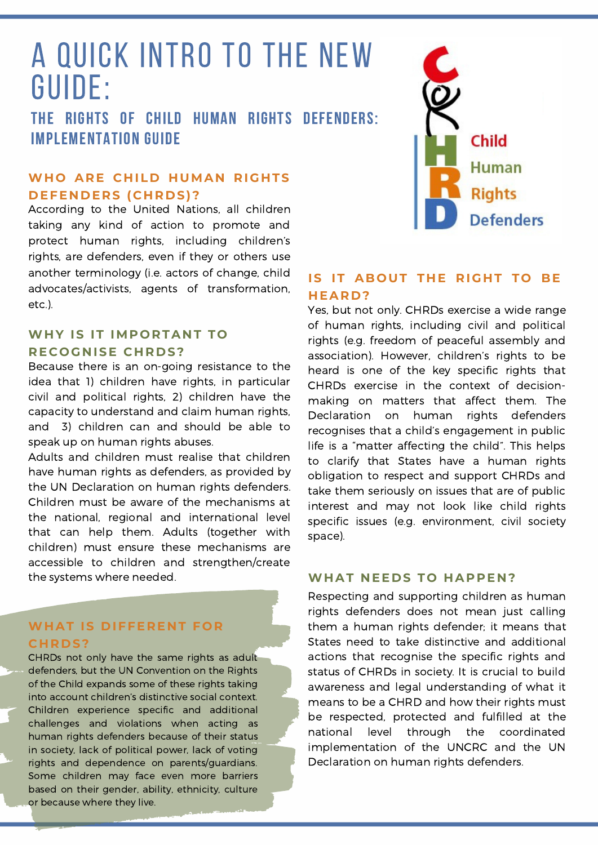# A quick intro to the new Guide:

THE RIGHTS OF CHILD HUMAN RIGHTS DEFENDERS: IMPLEMENTATION GUIDE

### **WHO** ARE CHILD HUMAN RIGHTS **D EFE N D ERS (C H R D S)?**

According to the United Nations, all children taking any kind of action to promote and protect human rights, including children's rights, are defenders, even if they or others use another terminology (i.e. actors of change, child advocates/activists, agents of transformation, etc.).

### **WH Y IS IT IMPORTA N T TO RECOGNISE CHRDS?**

Because there is an on-going resistance to the idea that 1) children have rights, in particular civil and political rights, 2) children have the capacity to understand and claim human rights, and 3) children can and should be able to speak up on human rights abuses.

Adults and children must realise that children have human rights as defenders, as provided by the UN Declaration on human rights defenders. Children must be aware of the mechanisms at the national, regional and international level that can help them. Adults (together with children) must ensure these mechanisms are accessible to children and strengthen/create the systems where needed.

### **WH AT IS D IFFERE N T FOR C H R D S?**

CHRDs not only have the same rights as adult defenders, but the UN Convention on the Rights of the Child expands some of these rights taking into account children's distinctive social context. Children experience specific and additional challenges and violations when acting as human rights defenders because of their status in society, lack of political power, lack of voting rights and dependence on parents/guardians. Some children may face even more barriers based on their gender, ability, ethnicity, culture or because where they live.



### **IS IT ABOUT T H E RIG H T TO BE H EAR D ?**

Yes, but not only. CHRDs exercise a wide range of human rights, including civil and political rights (e.g. freedom of peaceful assembly and association). However, children's rights to be heard is one of the key specific rights that CHRDs exercise in the context of decisionmaking on matters that affect them. The Declaration on human rights defenders recognises that a child's engagement in public life is a "matter affecting the child". This helps to clarify that States have a human rights obligation to respect and support CHRDs and take them seriously on issues that are of public interest and may not look like child rights specific issues (e.g. environment, civil society space).

#### **WH AT N EE D S TO H APPE N ?**

Respecting and supporting children as human rights defenders does not mean just calling them a human rights defender; it means that States need to take distinctive and additional actions that recognise the specific rights and status of CHRDs in society. It is crucial to build awareness and legal understanding of what it means to be a CHRD and how their rights must be respected, protected and fulfilled at the national level through the coordinated implementation of the UNCRC and the UN Declaration on human rights defenders.